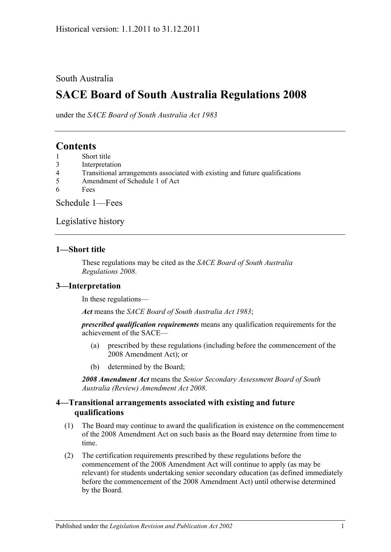## South Australia

# **SACE Board of South Australia Regulations 2008**

under the *SACE Board of South Australia Act 1983*

# **Contents**

- 1 [Short title](#page-0-0)
- 3 [Interpretation](#page-0-1)
- 4 [Transitional arrangements associated with existing and future qualifications](#page-0-2)
- 5 [Amendment of Schedule 1 of Act](#page-1-0)
- 6 [Fees](#page-1-1)

[Schedule](#page-1-2) 1—Fees

[Legislative history](#page-3-0)

#### <span id="page-0-0"></span>**1—Short title**

These regulations may be cited as the *SACE Board of South Australia Regulations 2008*.

### <span id="page-0-1"></span>**3—Interpretation**

In these regulations—

*Act* means the *[SACE Board of South Australia Act](http://www.legislation.sa.gov.au/index.aspx?action=legref&type=act&legtitle=SACE%20Board%20of%20South%20Australia%20Act%201983) 1983*;

*prescribed qualification requirements* means any qualification requirements for the achievement of the SACE—

- (a) prescribed by these regulations (including before the commencement of the 2008 Amendment Act); or
- (b) determined by the Board;

*2008 Amendment Act* means the *[Senior Secondary Assessment Board of South](http://www.legislation.sa.gov.au/index.aspx?action=legref&type=act&legtitle=Senior%20Secondary%20Assessment%20Board%20of%20South%20Australia%20(Review)%20Amendment%20Act%202008)  [Australia \(Review\) Amendment Act](http://www.legislation.sa.gov.au/index.aspx?action=legref&type=act&legtitle=Senior%20Secondary%20Assessment%20Board%20of%20South%20Australia%20(Review)%20Amendment%20Act%202008) 2008*.

#### <span id="page-0-2"></span>**4—Transitional arrangements associated with existing and future qualifications**

- (1) The Board may continue to award the qualification in existence on the commencement of the 2008 Amendment Act on such basis as the Board may determine from time to time.
- (2) The certification requirements prescribed by these regulations before the commencement of the 2008 Amendment Act will continue to apply (as may be relevant) for students undertaking senior secondary education (as defined immediately before the commencement of the 2008 Amendment Act) until otherwise determined by the Board.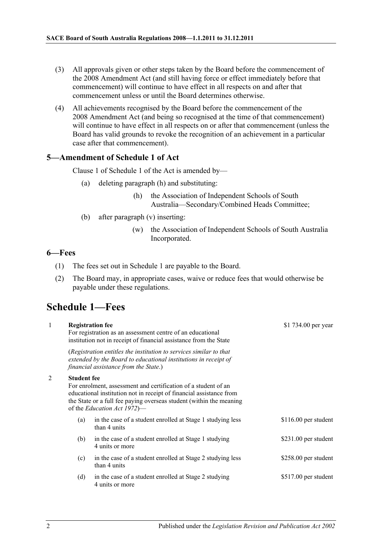- (3) All approvals given or other steps taken by the Board before the commencement of the 2008 Amendment Act (and still having force or effect immediately before that commencement) will continue to have effect in all respects on and after that commencement unless or until the Board determines otherwise.
- (4) All achievements recognised by the Board before the commencement of the 2008 Amendment Act (and being so recognised at the time of that commencement) will continue to have effect in all respects on or after that commencement (unless the Board has valid grounds to revoke the recognition of an achievement in a particular case after that commencement).

#### <span id="page-1-0"></span>**5—Amendment of Schedule 1 of Act**

Clause 1 of Schedule 1 of the Act is amended by—

- (a) deleting paragraph (h) and substituting:
	- (h) the Association of Independent Schools of South Australia—Secondary/Combined Heads Committee;
- (b) after paragraph (v) inserting:
	- (w) the Association of Independent Schools of South Australia Incorporated.

 $51.734.00$ 

#### <span id="page-1-1"></span>**6—Fees**

- (1) The fees set out in Schedule 1 are payable to the Board.
- (2) The Board may, in appropriate cases, waive or reduce fees that would otherwise be payable under these regulations.

# <span id="page-1-2"></span>**Schedule 1—Fees**

1 **Registration fee**

| $\mathbf{I}$ |                    | Registration fee<br>For registration as an assessment centre of an educational<br>institution not in receipt of financial assistance from the State                                                                                                 | $$1$ /34.00 per year  |
|--------------|--------------------|-----------------------------------------------------------------------------------------------------------------------------------------------------------------------------------------------------------------------------------------------------|-----------------------|
|              |                    | (Registration entitles the institution to services similar to that<br>extended by the Board to educational institutions in receipt of<br>financial assistance from the State.)                                                                      |                       |
| 2            | <b>Student fee</b> | For enrolment, assessment and certification of a student of an<br>educational institution not in receipt of financial assistance from<br>the State or a full fee paying overseas student (within the meaning<br>of the <i>Education Act 1972</i> )— |                       |
|              | (a)                | in the case of a student enrolled at Stage 1 studying less<br>than 4 units                                                                                                                                                                          | $$116.00$ per student |
|              | (b)                | in the case of a student enrolled at Stage 1 studying<br>4 units or more                                                                                                                                                                            | $$231.00$ per student |
|              | (c)                | in the case of a student enrolled at Stage 2 studying less<br>than 4 units                                                                                                                                                                          | \$258.00 per student  |
|              | (d)                | in the case of a student enrolled at Stage 2 studying<br>4 units or more                                                                                                                                                                            | \$517.00 per student  |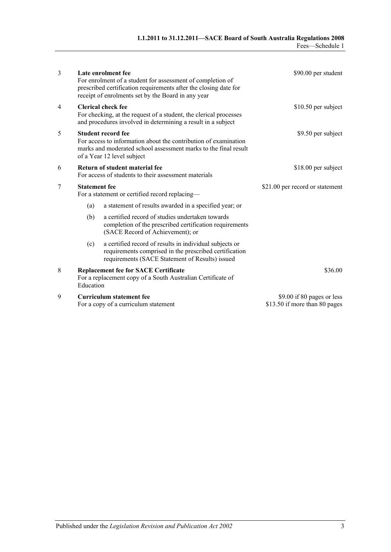| 3 |                                                                                                                                                                                               | Late enrolment fee<br>For enrolment of a student for assessment of completion of<br>prescribed certification requirements after the closing date for<br>receipt of enrolments set by the Board in any year | \$90.00 per student                                         |
|---|-----------------------------------------------------------------------------------------------------------------------------------------------------------------------------------------------|------------------------------------------------------------------------------------------------------------------------------------------------------------------------------------------------------------|-------------------------------------------------------------|
| 4 | <b>Clerical check fee</b><br>For checking, at the request of a student, the clerical processes<br>and procedures involved in determining a result in a subject                                |                                                                                                                                                                                                            | $$10.50$ per subject                                        |
| 5 | <b>Student record fee</b><br>For access to information about the contribution of examination<br>marks and moderated school assessment marks to the final result<br>of a Year 12 level subject |                                                                                                                                                                                                            | \$9.50 per subject                                          |
| 6 | Return of student material fee<br>For access of students to their assessment materials                                                                                                        |                                                                                                                                                                                                            | \$18.00 per subject                                         |
| 7 | <b>Statement</b> fee<br>For a statement or certified record replacing-                                                                                                                        |                                                                                                                                                                                                            | \$21.00 per record or statement                             |
|   | (a)                                                                                                                                                                                           | a statement of results awarded in a specified year; or                                                                                                                                                     |                                                             |
|   | (b)                                                                                                                                                                                           | a certified record of studies undertaken towards<br>completion of the prescribed certification requirements<br>(SACE Record of Achievement); or                                                            |                                                             |
|   | (c)                                                                                                                                                                                           | a certified record of results in individual subjects or<br>requirements comprised in the prescribed certification<br>requirements (SACE Statement of Results) issued                                       |                                                             |
| 8 | Education                                                                                                                                                                                     | <b>Replacement fee for SACE Certificate</b><br>For a replacement copy of a South Australian Certificate of                                                                                                 | \$36.00                                                     |
| 9 |                                                                                                                                                                                               | Curriculum statement fee<br>For a copy of a curriculum statement                                                                                                                                           | \$9.00 if 80 pages or less<br>\$13.50 if more than 80 pages |